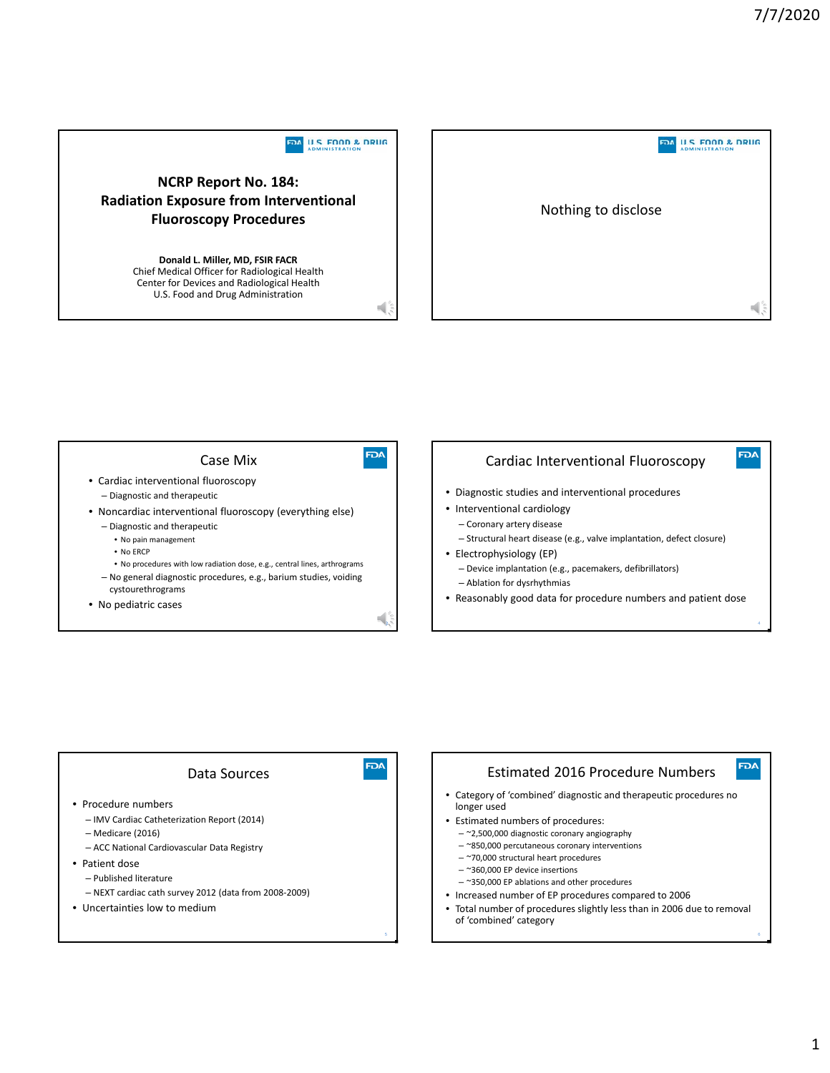





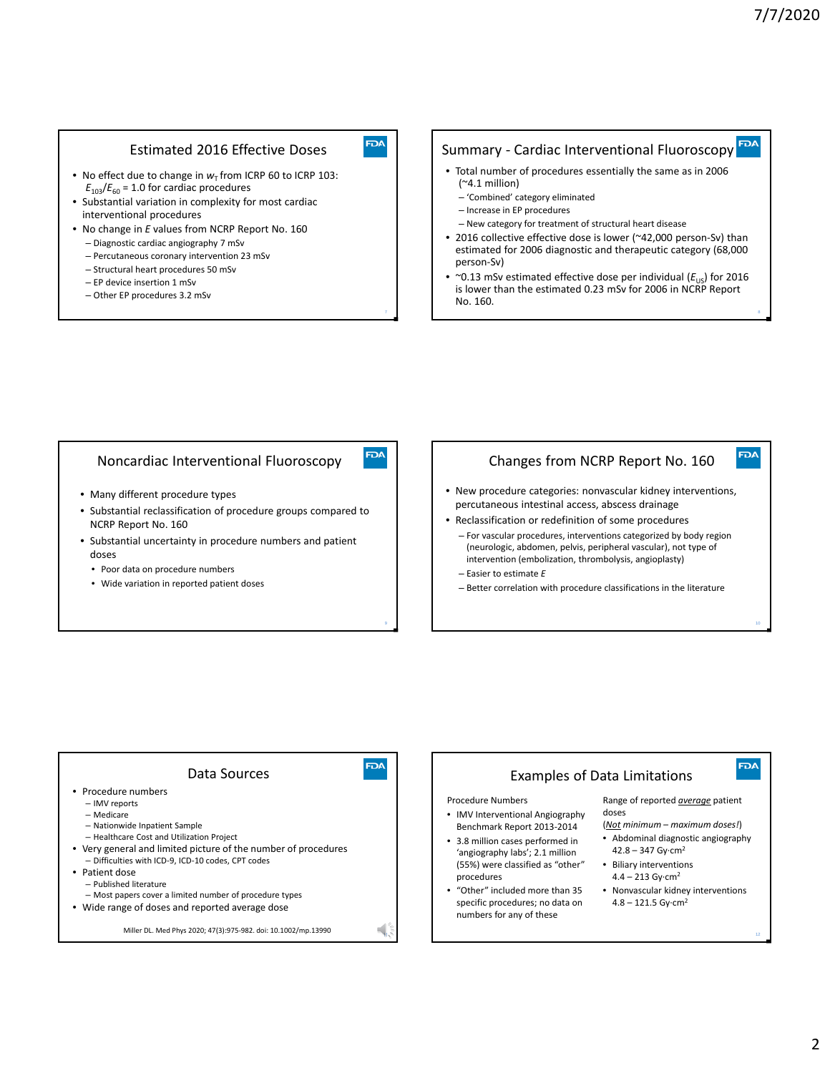#### Estimated 2016 Effective Doses

- No effect due to change in  $w<sub>T</sub>$  from ICRP 60 to ICRP 103:  $E_{103}/E_{60}$  = 1.0 for cardiac procedures
- Substantial variation in complexity for most cardiac interventional procedures
- No change in *E* values from NCRP Report No. 160
	- Diagnostic cardiac angiography 7 mSv
	- Percutaneous coronary intervention 23 mSv
	- Structural heart procedures 50 mSv
	- EP device insertion 1 mSv
	- Other EP procedures 3.2 mSv

## Summary - Cardiac Interventional Fluoroscopy FPA

- Total number of procedures essentially the same as in 2006 (~4.1 million)
	- 'Combined' category eliminated
	- Increase in EP procedures
- New category for treatment of structural heart disease
- 2016 collective effective dose is lower (~42,000 person-Sv) than estimated for 2006 diagnostic and therapeutic category (68,000 person‐Sv)
- ~0.13 mSv estimated effective dose per individual  $(E_{US})$  for 2016 is lower than the estimated 0.23 mSv for 2006 in NCRP Report No. 160.

#### Noncardiac Interventional Fluoroscopy

- Many different procedure types
- Substantial reclassification of procedure groups compared to NCRP Report No. 160
- Substantial uncertainty in procedure numbers and patient doses
	- Poor data on procedure numbers
	- Wide variation in reported patient doses

#### Changes from NCRP Report No. 160

- New procedure categories: nonvascular kidney interventions, percutaneous intestinal access, abscess drainage
- Reclassification or redefinition of some procedures
- For vascular procedures, interventions categorized by body region (neurologic, abdomen, pelvis, peripheral vascular), not type of intervention (embolization, thrombolysis, angioplasty)
- Easier to estimate *E*
- Better correlation with procedure classifications in the literature



9

FDA

**FDA** 

10

**FDA** 

**FDA**